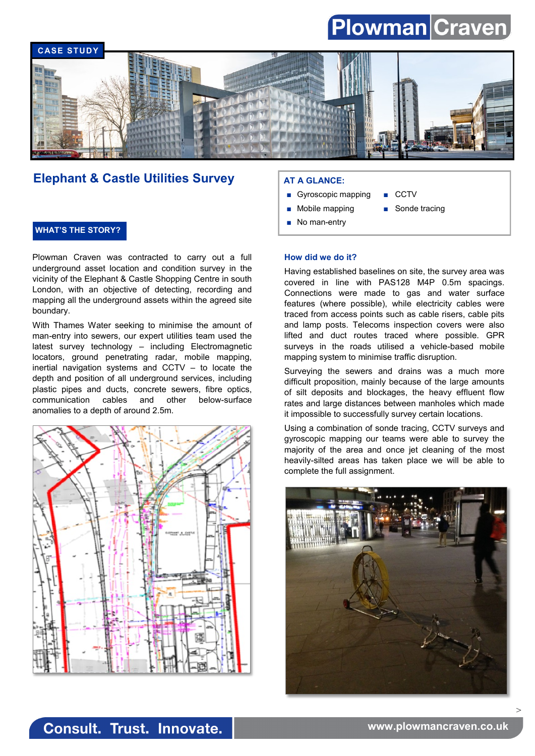# Plowman Craven



## **Elephant & Castle Utilities Survey | AT A GLANCE:**

### **WHAT'S THE STORY?**

Plowman Craven was contracted to carry out a full underground asset location and condition survey in the vicinity of the Elephant & Castle Shopping Centre in south London, with an objective of detecting, recording and mapping all the underground assets within the agreed site boundary.

With Thames Water seeking to minimise the amount of man-entry into sewers, our expert utilities team used the latest survey technology – including Electromagnetic locators, ground penetrating radar, mobile mapping, inertial navigation systems and CCTV – to locate the depth and position of all underground services, including plastic pipes and ducts, concrete sewers, fibre optics, communication cables and other below-surface anomalies to a depth of around 2.5m.



- Gyroscopic mapping CCTV
- Mobile mapping Sonde tracing
- No man-entry

#### **How did we do it?**

Having established baselines on site, the survey area was covered in line with PAS128 M4P 0.5m spacings. Connections were made to gas and water surface features (where possible), while electricity cables were traced from access points such as cable risers, cable pits and lamp posts. Telecoms inspection covers were also lifted and duct routes traced where possible. GPR surveys in the roads utilised a vehicle-based mobile mapping system to minimise traffic disruption.

Surveying the sewers and drains was a much more difficult proposition, mainly because of the large amounts of silt deposits and blockages, the heavy effluent flow rates and large distances between manholes which made it impossible to successfully survey certain locations.

Using a combination of sonde tracing, CCTV surveys and gyroscopic mapping our teams were able to survey the majority of the area and once jet cleaning of the most heavily-silted areas has taken place we will be able to complete the full assignment.



>